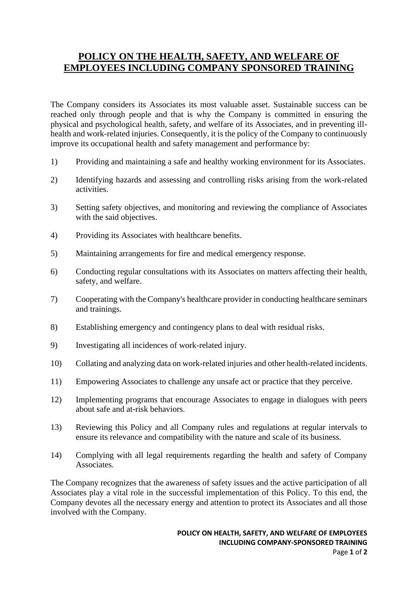## **POLICY ON THE HEALTH, SAFETY, AND WELFARE OF EMPLOYEES INCLUDING COMPANY SPONSORED TRAINING**

The Company considers its Associates its most valuable asset. Sustainable success can be reached only through people and that is why the Company is committed in ensuring the physical and psychological health, safety, and welfare of its Associates, and in preventing illhealth and work-related injuries. Consequently, it is the policy of the Company to continuously improve its occupational health and safety management and performance by:

- 1) Providing and maintaining a safe and healthy working environment for its Associates.
- 2) Identifying hazards and assessing and controlling risks arising from the work-related activities.
- 3) Setting safety objectives, and monitoring and reviewing the compliance of Associates with the said objectives.
- 4) Providing its Associates with healthcare benefits.
- 5) Maintaining arrangements for fire and medical emergency response.
- 6) Conducting regular consultations with its Associates on matters affecting their health, safety, and welfare.
- 7) Cooperating with the Company's healthcare provider in conducting healthcare seminars and trainings.
- 8) Establishing emergency and contingency plans to deal with residual risks.
- 9) Investigating all incidences of work-related injury.
- 10) Collating and analyzing data on work-related injuries and other health-related incidents.
- 11) Empowering Associates to challenge any unsafe act or practice that they perceive.
- 12) Implementing programs that encourage Associates to engage in dialogues with peers about safe and at-risk behaviors.
- 13) Reviewing this Policy and all Company rules and regulations at regular intervals to ensure its relevance and compatibility with the nature and scale of its business.
- 14) Complying with all legal requirements regarding the health and safety of Company Associates.

The Company recognizes that the awareness of safety issues and the active participation of all Associates play a vital role in the successful implementation of this Policy. To this end, the Company devotes all the necessary energy and attention to protect its Associates and all those involved with the Company.